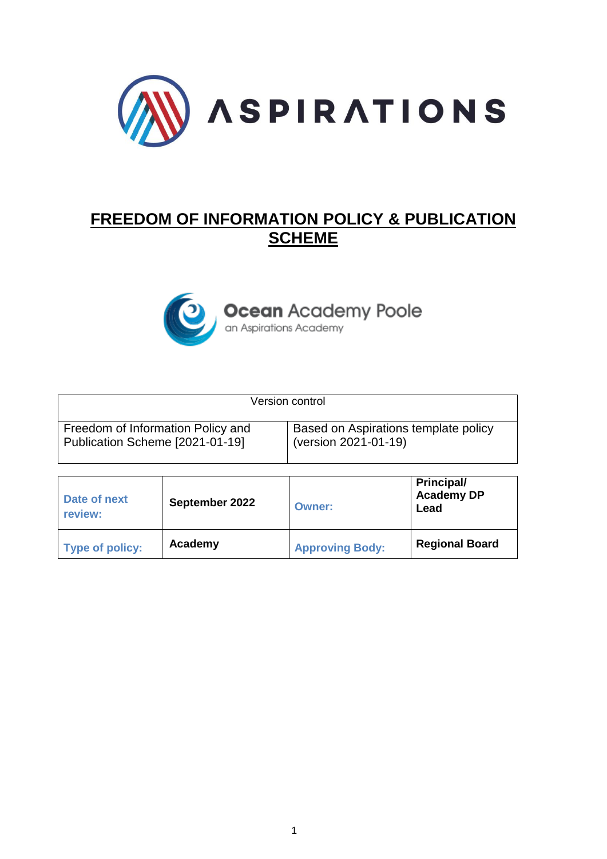

# **FREEDOM OF INFORMATION POLICY & PUBLICATION SCHEME**



**Ocean** Academy Poole

| Version control                   |                                      |
|-----------------------------------|--------------------------------------|
| Freedom of Information Policy and | Based on Aspirations template policy |
| Publication Scheme [2021-01-19]   | (version 2021-01-19)                 |

| Date of next<br>review: | September 2022 | Owner:                 | <b>Principal/</b><br><b>Academy DP</b><br>Lead |
|-------------------------|----------------|------------------------|------------------------------------------------|
| Type of policy:         | Academy        | <b>Approving Body:</b> | <b>Regional Board</b>                          |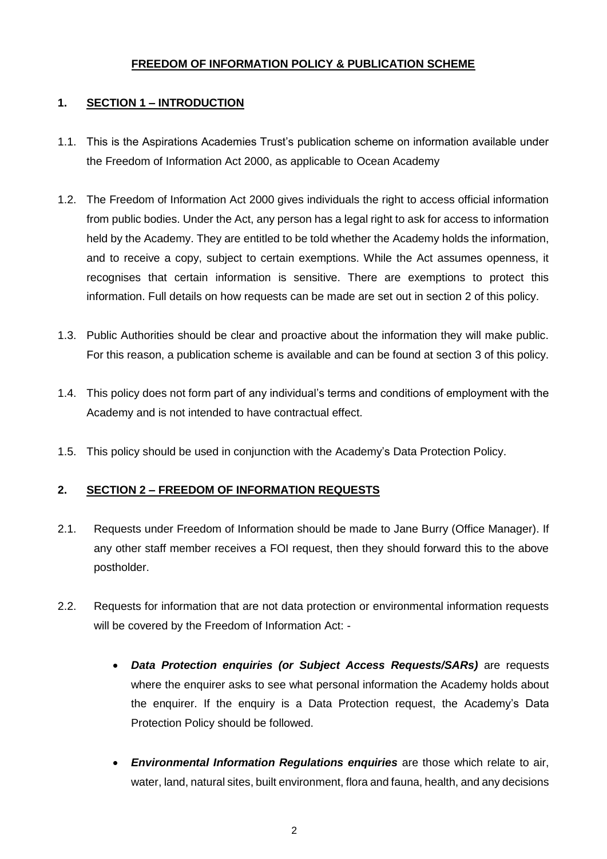## **FREEDOM OF INFORMATION POLICY & PUBLICATION SCHEME**

## **1. SECTION 1 – INTRODUCTION**

- 1.1. This is the Aspirations Academies Trust's publication scheme on information available under the Freedom of Information Act 2000, as applicable to Ocean Academy
- 1.2. The Freedom of Information Act 2000 gives individuals the right to access official information from public bodies. Under the Act, any person has a legal right to ask for access to information held by the Academy. They are entitled to be told whether the Academy holds the information, and to receive a copy, subject to certain exemptions. While the Act assumes openness, it recognises that certain information is sensitive. There are exemptions to protect this information. Full details on how requests can be made are set out in section 2 of this policy.
- 1.3. Public Authorities should be clear and proactive about the information they will make public. For this reason, a publication scheme is available and can be found at section 3 of this policy.
- 1.4. This policy does not form part of any individual's terms and conditions of employment with the Academy and is not intended to have contractual effect.
- 1.5. This policy should be used in conjunction with the Academy's Data Protection Policy.

# **2. SECTION 2 – FREEDOM OF INFORMATION REQUESTS**

- 2.1. Requests under Freedom of Information should be made to Jane Burry (Office Manager). If any other staff member receives a FOI request, then they should forward this to the above postholder.
- 2.2. Requests for information that are not data protection or environmental information requests will be covered by the Freedom of Information Act: -
	- *Data Protection enquiries (or Subject Access Requests/SARs)* are requests where the enquirer asks to see what personal information the Academy holds about the enquirer. If the enquiry is a Data Protection request, the Academy's Data Protection Policy should be followed.
	- *Environmental Information Regulations enquiries* are those which relate to air, water, land, natural sites, built environment, flora and fauna, health, and any decisions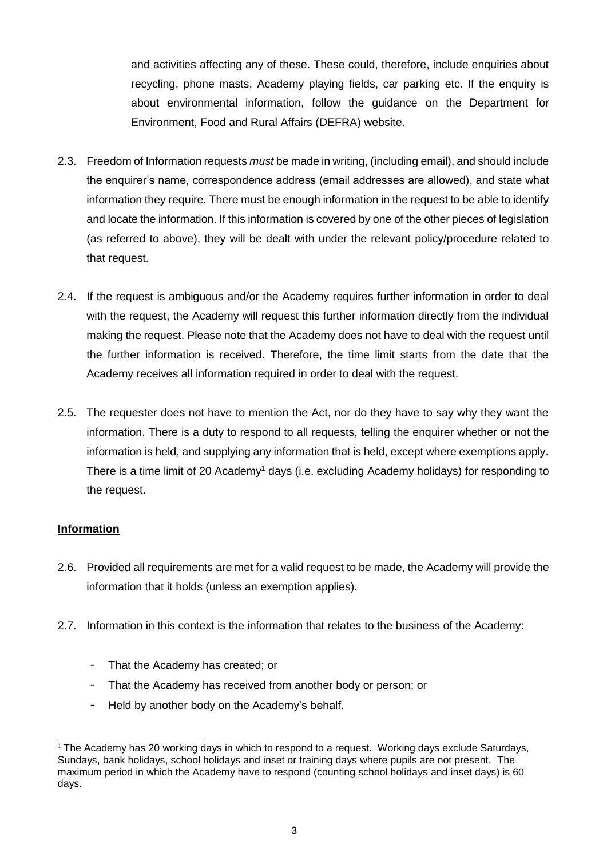and activities affecting any of these. These could, therefore, include enquiries about recycling, phone masts, Academy playing fields, car parking etc. If the enquiry is about environmental information, follow the guidance on the Department for Environment, Food and Rural Affairs (DEFRA) website.

- 2.3. Freedom of Information requests *must* be made in writing, (including email), and should include the enquirer's name, correspondence address (email addresses are allowed), and state what information they require. There must be enough information in the request to be able to identify and locate the information. If this information is covered by one of the other pieces of legislation (as referred to above), they will be dealt with under the relevant policy/procedure related to that request.
- 2.4. If the request is ambiguous and/or the Academy requires further information in order to deal with the request, the Academy will request this further information directly from the individual making the request. Please note that the Academy does not have to deal with the request until the further information is received. Therefore, the time limit starts from the date that the Academy receives all information required in order to deal with the request.
- 2.5. The requester does not have to mention the Act, nor do they have to say why they want the information. There is a duty to respond to all requests, telling the enquirer whether or not the information is held, and supplying any information that is held, except where exemptions apply. There is a time limit of 20 Academy<sup>1</sup> days (i.e. excluding Academy holidays) for responding to the request.

## **Information**

- 2.6. Provided all requirements are met for a valid request to be made, the Academy will provide the information that it holds (unless an exemption applies).
- 2.7. Information in this context is the information that relates to the business of the Academy:
	- That the Academy has created; or
	- That the Academy has received from another body or person; or
	- Held by another body on the Academy's behalf.

<sup>1</sup> <sup>1</sup> The Academy has 20 working days in which to respond to a request. Working days exclude Saturdays, Sundays, bank holidays, school holidays and inset or training days where pupils are not present. The maximum period in which the Academy have to respond (counting school holidays and inset days) is 60 days.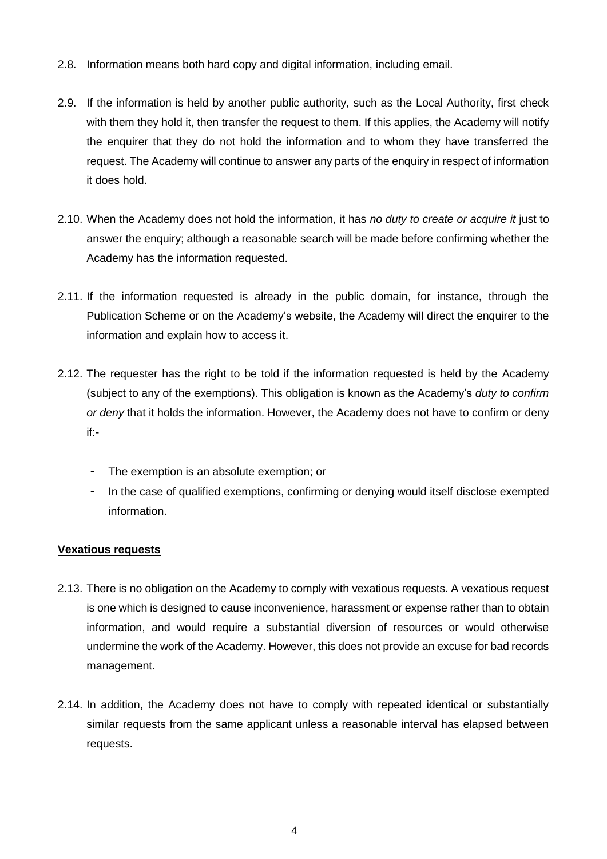- 2.8. Information means both hard copy and digital information, including email.
- 2.9. If the information is held by another public authority, such as the Local Authority, first check with them they hold it, then transfer the request to them. If this applies, the Academy will notify the enquirer that they do not hold the information and to whom they have transferred the request. The Academy will continue to answer any parts of the enquiry in respect of information it does hold.
- 2.10. When the Academy does not hold the information, it has *no duty to create or acquire it* just to answer the enquiry; although a reasonable search will be made before confirming whether the Academy has the information requested.
- 2.11. If the information requested is already in the public domain, for instance, through the Publication Scheme or on the Academy's website, the Academy will direct the enquirer to the information and explain how to access it.
- 2.12. The requester has the right to be told if the information requested is held by the Academy (subject to any of the exemptions). This obligation is known as the Academy's *duty to confirm or deny* that it holds the information. However, the Academy does not have to confirm or deny if:-
	- The exemption is an absolute exemption; or
	- In the case of qualified exemptions, confirming or denying would itself disclose exempted information.

## **Vexatious requests**

- 2.13. There is no obligation on the Academy to comply with vexatious requests. A vexatious request is one which is designed to cause inconvenience, harassment or expense rather than to obtain information, and would require a substantial diversion of resources or would otherwise undermine the work of the Academy. However, this does not provide an excuse for bad records management.
- 2.14. In addition, the Academy does not have to comply with repeated identical or substantially similar requests from the same applicant unless a reasonable interval has elapsed between requests.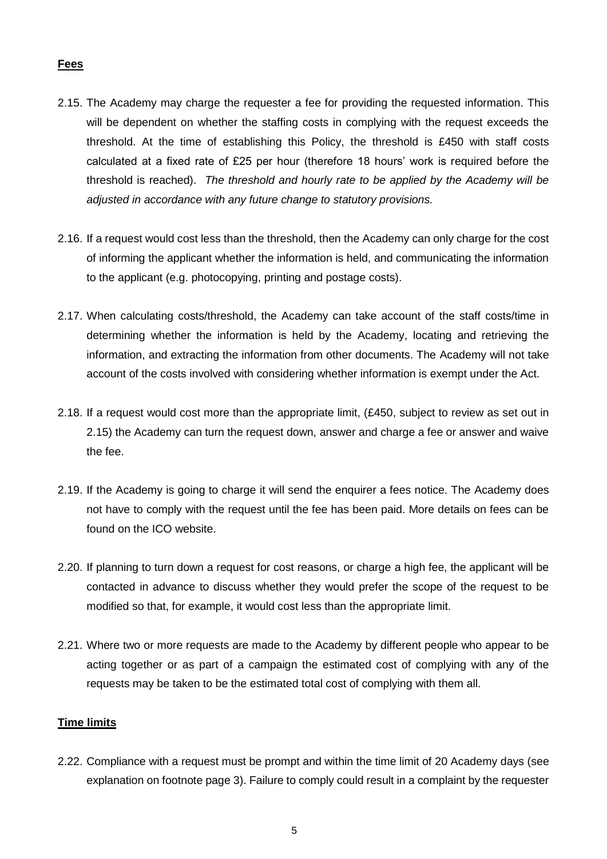## **Fees**

- 2.15. The Academy may charge the requester a fee for providing the requested information. This will be dependent on whether the staffing costs in complying with the request exceeds the threshold. At the time of establishing this Policy, the threshold is £450 with staff costs calculated at a fixed rate of £25 per hour (therefore 18 hours' work is required before the threshold is reached). *The threshold and hourly rate to be applied by the Academy will be adjusted in accordance with any future change to statutory provisions.*
- 2.16. If a request would cost less than the threshold, then the Academy can only charge for the cost of informing the applicant whether the information is held, and communicating the information to the applicant (e.g. photocopying, printing and postage costs).
- 2.17. When calculating costs/threshold, the Academy can take account of the staff costs/time in determining whether the information is held by the Academy, locating and retrieving the information, and extracting the information from other documents. The Academy will not take account of the costs involved with considering whether information is exempt under the Act.
- 2.18. If a request would cost more than the appropriate limit, (£450, subject to review as set out in 2.15) the Academy can turn the request down, answer and charge a fee or answer and waive the fee.
- 2.19. If the Academy is going to charge it will send the enquirer a fees notice. The Academy does not have to comply with the request until the fee has been paid. More details on fees can be found on the ICO website.
- 2.20. If planning to turn down a request for cost reasons, or charge a high fee, the applicant will be contacted in advance to discuss whether they would prefer the scope of the request to be modified so that, for example, it would cost less than the appropriate limit.
- 2.21. Where two or more requests are made to the Academy by different people who appear to be acting together or as part of a campaign the estimated cost of complying with any of the requests may be taken to be the estimated total cost of complying with them all.

#### **Time limits**

2.22. Compliance with a request must be prompt and within the time limit of 20 Academy days (see explanation on footnote page 3). Failure to comply could result in a complaint by the requester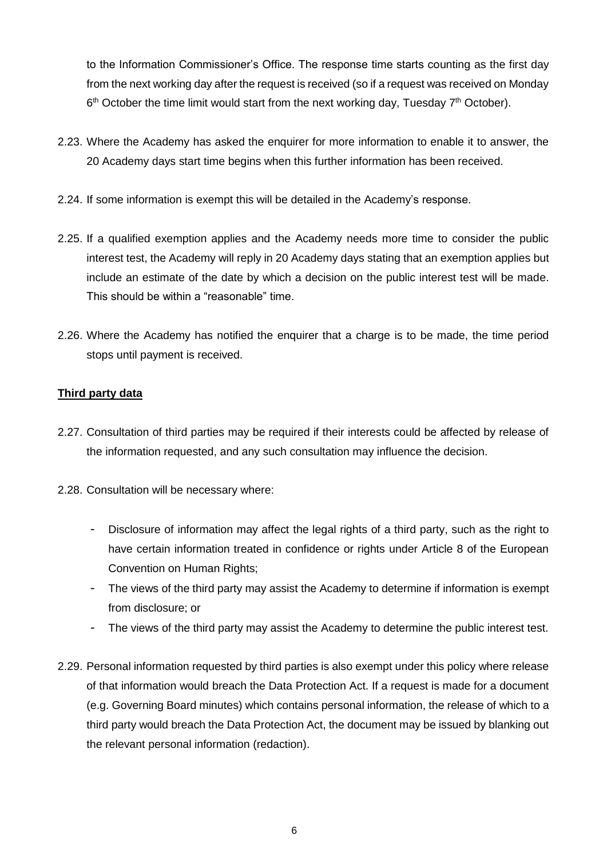to the Information Commissioner's Office. The response time starts counting as the first day from the next working day after the request is received (so if a request was received on Monday  $6<sup>th</sup>$  October the time limit would start from the next working day, Tuesday 7<sup>th</sup> October).

- 2.23. Where the Academy has asked the enquirer for more information to enable it to answer, the 20 Academy days start time begins when this further information has been received.
- 2.24. If some information is exempt this will be detailed in the Academy's response.
- 2.25. If a qualified exemption applies and the Academy needs more time to consider the public interest test, the Academy will reply in 20 Academy days stating that an exemption applies but include an estimate of the date by which a decision on the public interest test will be made. This should be within a "reasonable" time.
- 2.26. Where the Academy has notified the enquirer that a charge is to be made, the time period stops until payment is received.

## **Third party data**

- 2.27. Consultation of third parties may be required if their interests could be affected by release of the information requested, and any such consultation may influence the decision.
- 2.28. Consultation will be necessary where:
	- Disclosure of information may affect the legal rights of a third party, such as the right to have certain information treated in confidence or rights under Article 8 of the European Convention on Human Rights;
	- The views of the third party may assist the Academy to determine if information is exempt from disclosure; or
	- The views of the third party may assist the Academy to determine the public interest test.
- 2.29. Personal information requested by third parties is also exempt under this policy where release of that information would breach the Data Protection Act. If a request is made for a document (e.g. Governing Board minutes) which contains personal information, the release of which to a third party would breach the Data Protection Act, the document may be issued by blanking out the relevant personal information (redaction).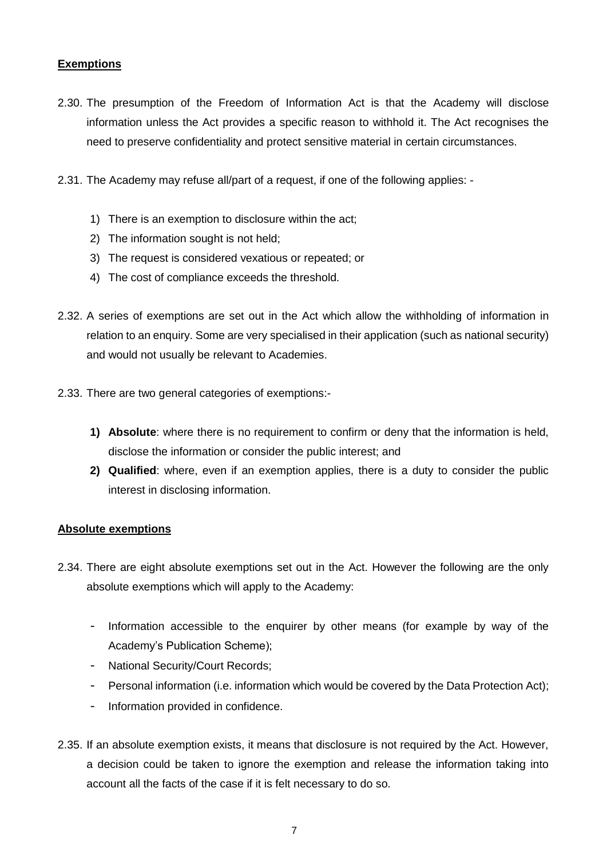## **Exemptions**

- 2.30. The presumption of the Freedom of Information Act is that the Academy will disclose information unless the Act provides a specific reason to withhold it. The Act recognises the need to preserve confidentiality and protect sensitive material in certain circumstances.
- 2.31. The Academy may refuse all/part of a request, if one of the following applies:
	- 1) There is an exemption to disclosure within the act;
	- 2) The information sought is not held;
	- 3) The request is considered vexatious or repeated; or
	- 4) The cost of compliance exceeds the threshold.
- 2.32. A series of exemptions are set out in the Act which allow the withholding of information in relation to an enquiry. Some are very specialised in their application (such as national security) and would not usually be relevant to Academies.
- 2.33. There are two general categories of exemptions:-
	- **1) Absolute**: where there is no requirement to confirm or deny that the information is held, disclose the information or consider the public interest; and
	- **2) Qualified**: where, even if an exemption applies, there is a duty to consider the public interest in disclosing information.

#### **Absolute exemptions**

- 2.34. There are eight absolute exemptions set out in the Act. However the following are the only absolute exemptions which will apply to the Academy:
	- Information accessible to the enquirer by other means (for example by way of the Academy's Publication Scheme);
	- National Security/Court Records;
	- Personal information (i.e. information which would be covered by the Data Protection Act);
	- Information provided in confidence.
- 2.35. If an absolute exemption exists, it means that disclosure is not required by the Act. However, a decision could be taken to ignore the exemption and release the information taking into account all the facts of the case if it is felt necessary to do so.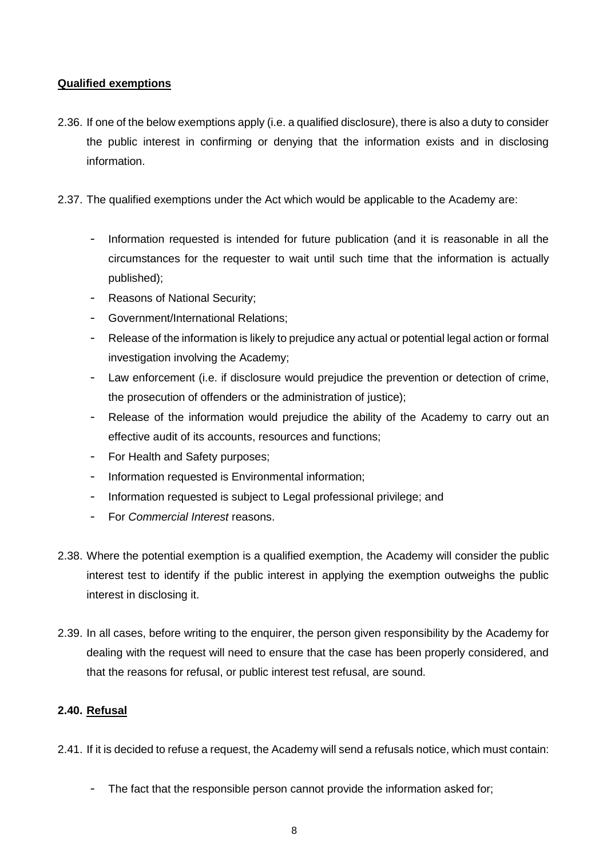## **Qualified exemptions**

- 2.36. If one of the below exemptions apply (i.e. a qualified disclosure), there is also a duty to consider the public interest in confirming or denying that the information exists and in disclosing information.
- 2.37. The qualified exemptions under the Act which would be applicable to the Academy are:
	- Information requested is intended for future publication (and it is reasonable in all the circumstances for the requester to wait until such time that the information is actually published);
	- Reasons of National Security;
	- Government/International Relations;
	- Release of the information is likely to prejudice any actual or potential legal action or formal investigation involving the Academy;
	- Law enforcement (i.e. if disclosure would prejudice the prevention or detection of crime, the prosecution of offenders or the administration of justice);
	- Release of the information would prejudice the ability of the Academy to carry out an effective audit of its accounts, resources and functions;
	- For Health and Safety purposes;
	- Information requested is Environmental information;
	- Information requested is subject to Legal professional privilege; and
	- For *Commercial Interest* reasons.
- 2.38. Where the potential exemption is a qualified exemption, the Academy will consider the public interest test to identify if the public interest in applying the exemption outweighs the public interest in disclosing it.
- 2.39. In all cases, before writing to the enquirer, the person given responsibility by the Academy for dealing with the request will need to ensure that the case has been properly considered, and that the reasons for refusal, or public interest test refusal, are sound.

#### **2.40. Refusal**

2.41. If it is decided to refuse a request, the Academy will send a refusals notice, which must contain:

- The fact that the responsible person cannot provide the information asked for;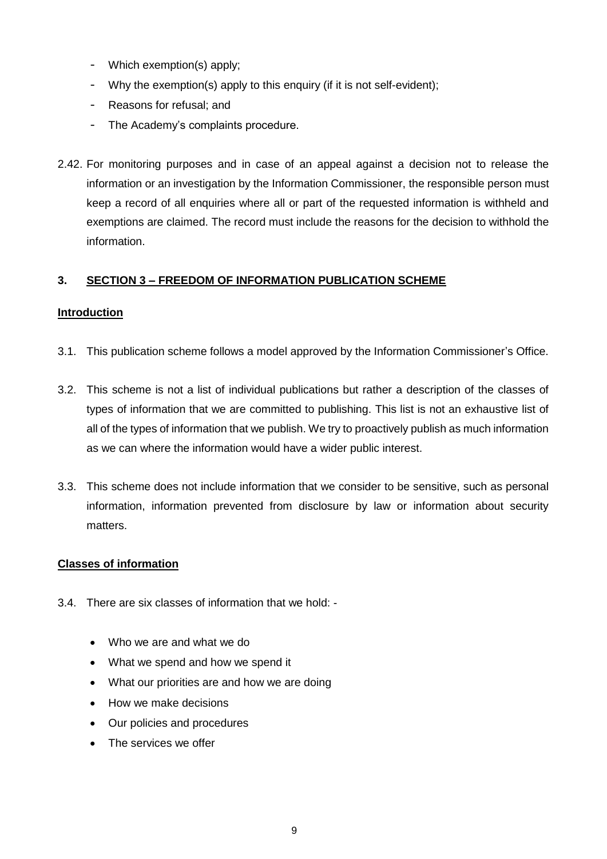- Which exemption(s) apply;
- Why the exemption(s) apply to this enquiry (if it is not self-evident);
- Reasons for refusal; and
- The Academy's complaints procedure.
- 2.42. For monitoring purposes and in case of an appeal against a decision not to release the information or an investigation by the Information Commissioner, the responsible person must keep a record of all enquiries where all or part of the requested information is withheld and exemptions are claimed. The record must include the reasons for the decision to withhold the information.

## **3. SECTION 3 – FREEDOM OF INFORMATION PUBLICATION SCHEME**

#### **Introduction**

- 3.1. This publication scheme follows a model approved by the Information Commissioner's Office.
- 3.2. This scheme is not a list of individual publications but rather a description of the classes of types of information that we are committed to publishing. This list is not an exhaustive list of all of the types of information that we publish. We try to proactively publish as much information as we can where the information would have a wider public interest.
- 3.3. This scheme does not include information that we consider to be sensitive, such as personal information, information prevented from disclosure by law or information about security matters.

#### **Classes of information**

- 3.4. There are six classes of information that we hold:
	- Who we are and what we do
	- What we spend and how we spend it
	- What our priorities are and how we are doing
	- How we make decisions
	- Our policies and procedures
	- The services we offer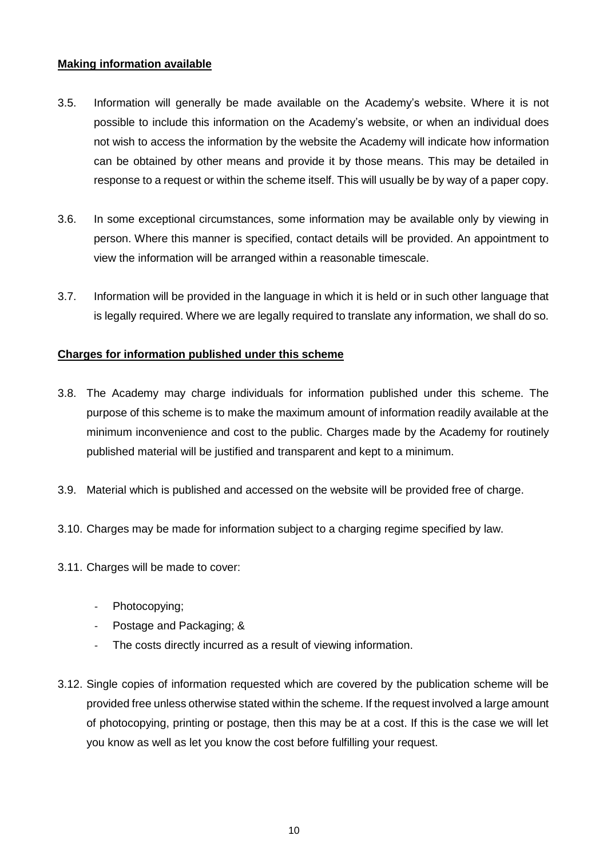#### **Making information available**

- 3.5. Information will generally be made available on the Academy's website. Where it is not possible to include this information on the Academy's website, or when an individual does not wish to access the information by the website the Academy will indicate how information can be obtained by other means and provide it by those means. This may be detailed in response to a request or within the scheme itself. This will usually be by way of a paper copy.
- 3.6. In some exceptional circumstances, some information may be available only by viewing in person. Where this manner is specified, contact details will be provided. An appointment to view the information will be arranged within a reasonable timescale.
- 3.7. Information will be provided in the language in which it is held or in such other language that is legally required. Where we are legally required to translate any information, we shall do so.

## **Charges for information published under this scheme**

- 3.8. The Academy may charge individuals for information published under this scheme. The purpose of this scheme is to make the maximum amount of information readily available at the minimum inconvenience and cost to the public. Charges made by the Academy for routinely published material will be justified and transparent and kept to a minimum.
- 3.9. Material which is published and accessed on the website will be provided free of charge.
- 3.10. Charges may be made for information subject to a charging regime specified by law.
- 3.11. Charges will be made to cover:
	- Photocopying;
	- Postage and Packaging; &
	- The costs directly incurred as a result of viewing information.
- 3.12. Single copies of information requested which are covered by the publication scheme will be provided free unless otherwise stated within the scheme. If the request involved a large amount of photocopying, printing or postage, then this may be at a cost. If this is the case we will let you know as well as let you know the cost before fulfilling your request.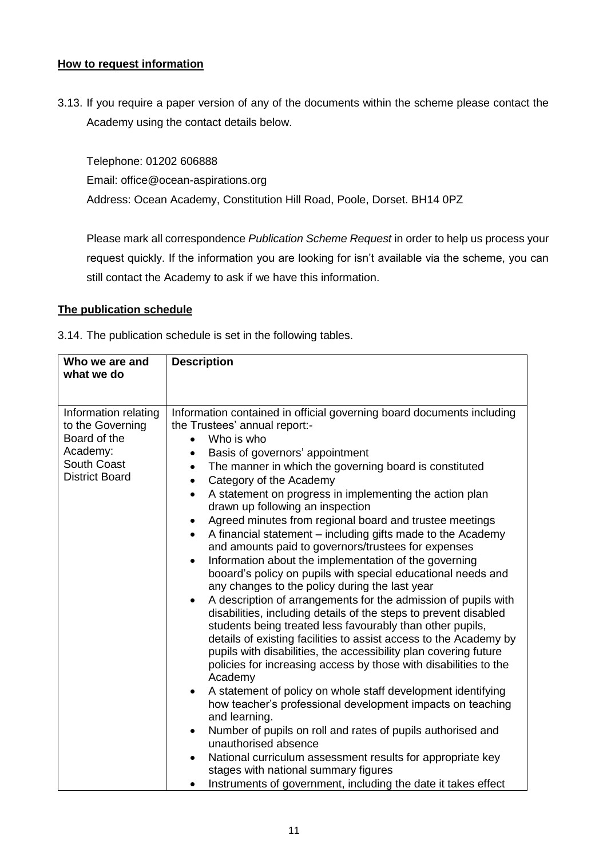#### **How to request information**

3.13. If you require a paper version of any of the documents within the scheme please contact the Academy using the contact details below.

Telephone: 01202 606888 Email: office@ocean-aspirations.org Address: Ocean Academy, Constitution Hill Road, Poole, Dorset. BH14 0PZ

Please mark all correspondence *Publication Scheme Request* in order to help us process your request quickly. If the information you are looking for isn't available via the scheme, you can still contact the Academy to ask if we have this information.

#### **The publication schedule**

3.14. The publication schedule is set in the following tables.

| Who we are and<br>what we do                                                                                        | <b>Description</b>                                                                                                                                                                                                                                                                                                                                                                                                                                                                                                                                                                                                                                                                                                                                                                                                                                                                                                                                                                                                                                                                                                                                                                                                                                                                                                                                                                                                                                                                                                                                                                                                                                                                                          |
|---------------------------------------------------------------------------------------------------------------------|-------------------------------------------------------------------------------------------------------------------------------------------------------------------------------------------------------------------------------------------------------------------------------------------------------------------------------------------------------------------------------------------------------------------------------------------------------------------------------------------------------------------------------------------------------------------------------------------------------------------------------------------------------------------------------------------------------------------------------------------------------------------------------------------------------------------------------------------------------------------------------------------------------------------------------------------------------------------------------------------------------------------------------------------------------------------------------------------------------------------------------------------------------------------------------------------------------------------------------------------------------------------------------------------------------------------------------------------------------------------------------------------------------------------------------------------------------------------------------------------------------------------------------------------------------------------------------------------------------------------------------------------------------------------------------------------------------------|
|                                                                                                                     |                                                                                                                                                                                                                                                                                                                                                                                                                                                                                                                                                                                                                                                                                                                                                                                                                                                                                                                                                                                                                                                                                                                                                                                                                                                                                                                                                                                                                                                                                                                                                                                                                                                                                                             |
| Information relating<br>to the Governing<br>Board of the<br>Academy:<br><b>South Coast</b><br><b>District Board</b> | Information contained in official governing board documents including<br>the Trustees' annual report:-<br>Who is who<br>$\bullet$<br>Basis of governors' appointment<br>$\bullet$<br>The manner in which the governing board is constituted<br>$\bullet$<br>Category of the Academy<br>$\bullet$<br>A statement on progress in implementing the action plan<br>$\bullet$<br>drawn up following an inspection<br>Agreed minutes from regional board and trustee meetings<br>$\bullet$<br>A financial statement – including gifts made to the Academy<br>$\bullet$<br>and amounts paid to governors/trustees for expenses<br>Information about the implementation of the governing<br>$\bullet$<br>booard's policy on pupils with special educational needs and<br>any changes to the policy during the last year<br>A description of arrangements for the admission of pupils with<br>$\bullet$<br>disabilities, including details of the steps to prevent disabled<br>students being treated less favourably than other pupils,<br>details of existing facilities to assist access to the Academy by<br>pupils with disabilities, the accessibility plan covering future<br>policies for increasing access by those with disabilities to the<br>Academy<br>A statement of policy on whole staff development identifying<br>$\bullet$<br>how teacher's professional development impacts on teaching<br>and learning.<br>Number of pupils on roll and rates of pupils authorised and<br>$\bullet$<br>unauthorised absence<br>National curriculum assessment results for appropriate key<br>$\bullet$<br>stages with national summary figures<br>Instruments of government, including the date it takes effect |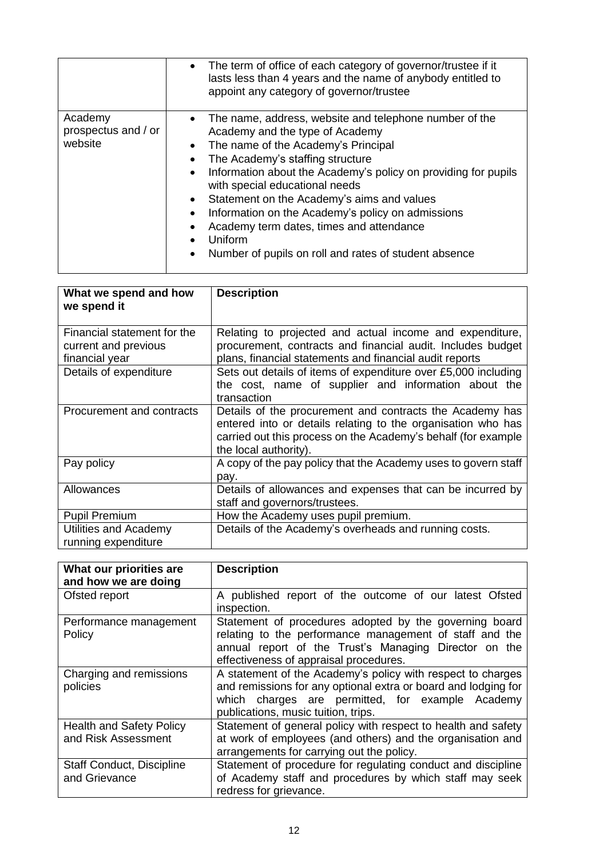|                                           | The term of office of each category of governor/trustee if it<br>$\bullet$<br>lasts less than 4 years and the name of anybody entitled to<br>appoint any category of governor/trustee                                                                                                                                                                                                                                                                                                                                                                                                  |
|-------------------------------------------|----------------------------------------------------------------------------------------------------------------------------------------------------------------------------------------------------------------------------------------------------------------------------------------------------------------------------------------------------------------------------------------------------------------------------------------------------------------------------------------------------------------------------------------------------------------------------------------|
| Academy<br>prospectus and / or<br>website | The name, address, website and telephone number of the<br>$\bullet$<br>Academy and the type of Academy<br>The name of the Academy's Principal<br>$\bullet$<br>The Academy's staffing structure<br>$\bullet$<br>Information about the Academy's policy on providing for pupils<br>$\bullet$<br>with special educational needs<br>Statement on the Academy's aims and values<br>$\bullet$<br>Information on the Academy's policy on admissions<br>$\bullet$<br>Academy term dates, times and attendance<br>Uniform<br>Number of pupils on roll and rates of student absence<br>$\bullet$ |

| What we spend and how<br>we spend it                                  | <b>Description</b>                                                                                                                                                                                                 |
|-----------------------------------------------------------------------|--------------------------------------------------------------------------------------------------------------------------------------------------------------------------------------------------------------------|
| Financial statement for the<br>current and previous<br>financial year | Relating to projected and actual income and expenditure,<br>procurement, contracts and financial audit. Includes budget<br>plans, financial statements and financial audit reports                                 |
| Details of expenditure                                                | Sets out details of items of expenditure over £5,000 including<br>the cost, name of supplier and information about the<br>transaction                                                                              |
| Procurement and contracts                                             | Details of the procurement and contracts the Academy has<br>entered into or details relating to the organisation who has<br>carried out this process on the Academy's behalf (for example<br>the local authority). |
| Pay policy                                                            | A copy of the pay policy that the Academy uses to govern staff<br>pay.                                                                                                                                             |
| Allowances                                                            | Details of allowances and expenses that can be incurred by<br>staff and governors/trustees.                                                                                                                        |
| <b>Pupil Premium</b>                                                  | How the Academy uses pupil premium.                                                                                                                                                                                |
| Utilities and Academy<br>running expenditure                          | Details of the Academy's overheads and running costs.                                                                                                                                                              |

| What our priorities are<br>and how we are doing        | <b>Description</b>                                                                                                                                                                                                       |
|--------------------------------------------------------|--------------------------------------------------------------------------------------------------------------------------------------------------------------------------------------------------------------------------|
| Ofsted report                                          | A published report of the outcome of our latest Ofsted<br>inspection.                                                                                                                                                    |
| Performance management<br>Policy                       | Statement of procedures adopted by the governing board<br>relating to the performance management of staff and the<br>annual report of the Trust's Managing Director on the<br>effectiveness of appraisal procedures.     |
| Charging and remissions<br>policies                    | A statement of the Academy's policy with respect to charges<br>and remissions for any optional extra or board and lodging for<br>which charges are permitted, for example Academy<br>publications, music tuition, trips. |
| <b>Health and Safety Policy</b><br>and Risk Assessment | Statement of general policy with respect to health and safety<br>at work of employees (and others) and the organisation and<br>arrangements for carrying out the policy.                                                 |
| <b>Staff Conduct, Discipline</b><br>and Grievance      | Statement of procedure for regulating conduct and discipline<br>of Academy staff and procedures by which staff may seek<br>redress for grievance.                                                                        |